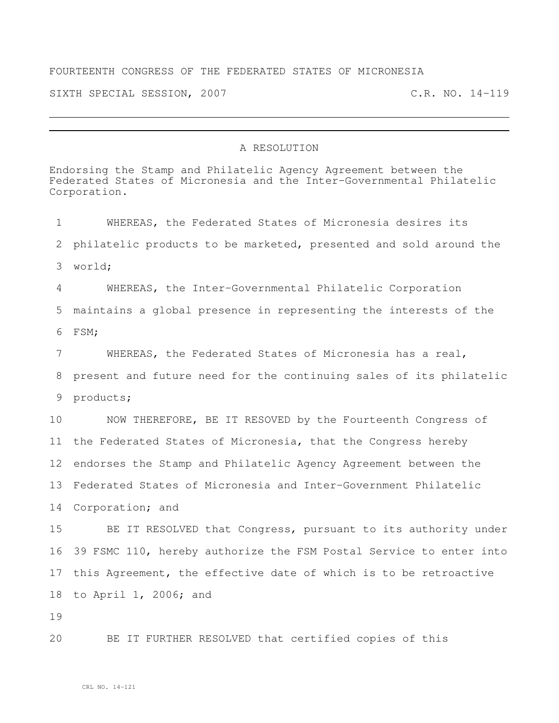## FOURTEENTH CONGRESS OF THE FEDERATED STATES OF MICRONESIA

SIXTH SPECIAL SESSION, 2007 C.R. NO. 14-119

## A RESOLUTION

Endorsing the Stamp and Philatelic Agency Agreement between the Federated States of Micronesia and the Inter-Governmental Philatelic Corporation. WHEREAS, the Federated States of Micronesia desires its philatelic products to be marketed, presented and sold around the world; WHEREAS, the Inter-Governmental Philatelic Corporation maintains a global presence in representing the interests of the FSM; WHEREAS, the Federated States of Micronesia has a real, present and future need for the continuing sales of its philatelic products; NOW THEREFORE, BE IT RESOVED by the Fourteenth Congress of the Federated States of Micronesia, that the Congress hereby endorses the Stamp and Philatelic Agency Agreement between the Federated States of Micronesia and Inter-Government Philatelic Corporation; and BE IT RESOLVED that Congress, pursuant to its authority under 39 FSMC 110, hereby authorize the FSM Postal Service to enter into this Agreement, the effective date of which is to be retroactive to April 1, 2006; and BE IT FURTHER RESOLVED that certified copies of this